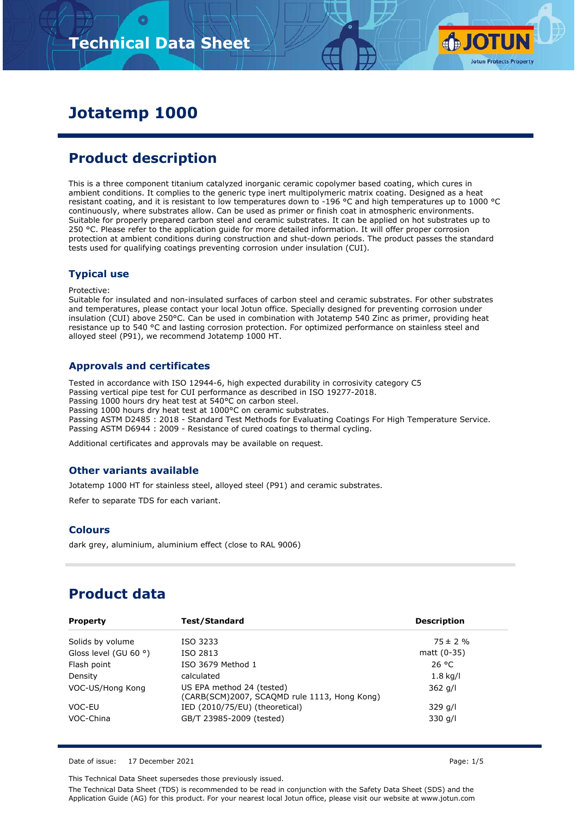

# **Jotatemp 1000**

# **Product description**

This is a three component titanium catalyzed inorganic ceramic copolymer based coating, which cures in ambient conditions. It complies to the generic type inert multipolymeric matrix coating. Designed as a heat resistant coating, and it is resistant to low temperatures down to -196 °C and high temperatures up to 1000 °C continuously, where substrates allow. Can be used as primer or finish coat in atmospheric environments. Suitable for properly prepared carbon steel and ceramic substrates. It can be applied on hot substrates up to 250 °C. Please refer to the application guide for more detailed information. It will offer proper corrosion protection at ambient conditions during construction and shut-down periods. The product passes the standard tests used for qualifying coatings preventing corrosion under insulation (CUI).

### **Typical use**

Protective:

Suitable for insulated and non-insulated surfaces of carbon steel and ceramic substrates. For other substrates and temperatures, please contact your local Jotun office. Specially designed for preventing corrosion under insulation (CUI) above 250°C. Can be used in combination with Jotatemp 540 Zinc as primer, providing heat resistance up to 540 °C and lasting corrosion protection. For optimized performance on stainless steel and alloyed steel (P91), we recommend Jotatemp 1000 HT.

### **Approvals and certificates**

Tested in accordance with ISO 12944-6, high expected durability in corrosivity category C5 Passing vertical pipe test for CUI performance as described in ISO 19277-2018. Passing 1000 hours dry heat test at 540°C on carbon steel. Passing 1000 hours dry heat test at 1000°C on ceramic substrates. Passing ASTM D2485 : 2018 - Standard Test Methods for Evaluating Coatings For High Temperature Service. Passing ASTM D6944 : 2009 - Resistance of cured coatings to thermal cycling.

Additional certificates and approvals may be available on request.

### **Other variants available**

Jotatemp 1000 HT for stainless steel, alloyed steel (P91) and ceramic substrates.

Refer to separate TDS for each variant.

### **Colours**

dark grey, aluminium, aluminium effect (close to RAL 9006)

# **Product data**

| <b>Property</b>                | Test/Standard                                                             | <b>Description</b> |
|--------------------------------|---------------------------------------------------------------------------|--------------------|
| Solids by volume               | ISO 3233                                                                  | $75 \pm 2 \%$      |
| Gloss level (GU 60 $\degree$ ) | ISO 2813                                                                  | matt $(0-35)$      |
| Flash point                    | ISO 3679 Method 1                                                         | 26 °C              |
| Density                        | calculated                                                                | $1.8$ kg/l         |
| VOC-US/Hong Kong               | US EPA method 24 (tested)<br>(CARB(SCM)2007, SCAQMD rule 1113, Hong Kong) | $362$ g/l          |
| VOC-EU                         | IED (2010/75/EU) (theoretical)                                            | 329 g/l            |
| VOC-China                      | GB/T 23985-2009 (tested)                                                  | $330$ g/l          |

Date of issue: 17 December 2021 **Page: 1/5** 

This Technical Data Sheet supersedes those previously issued.

The Technical Data Sheet (TDS) is recommended to be read in conjunction with the Safety Data Sheet (SDS) and the Application Guide (AG) for this product. For your nearest local Jotun office, please visit our website at www.jotun.com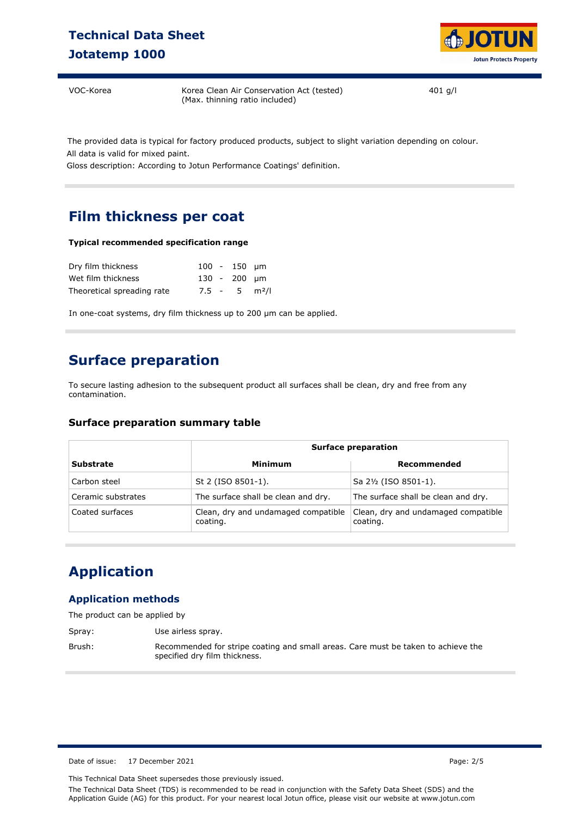# **Technical Data Sheet Jotatemp 1000**



VOC-Korea Korea Clean Air Conservation Act (tested) (Max. thinning ratio included)

401 g/l

The provided data is typical for factory produced products, subject to slight variation depending on colour. All data is valid for mixed paint.

Gloss description: According to Jotun Performance Coatings' definition.

# **Film thickness per coat**

#### **Typical recommended specification range**

| Dry film thickness         |  | $100 - 150$ um              |  |
|----------------------------|--|-----------------------------|--|
| Wet film thickness         |  | 130 - 200 µm                |  |
| Theoretical spreading rate |  | $7.5 - 5$ m <sup>2</sup> /l |  |

In one-coat systems, dry film thickness up to 200 µm can be applied.

## **Surface preparation**

To secure lasting adhesion to the subsequent product all surfaces shall be clean, dry and free from any contamination.

#### **Surface preparation summary table**

|                    | <b>Surface preparation</b>                      |                                                 |  |  |
|--------------------|-------------------------------------------------|-------------------------------------------------|--|--|
| <b>Substrate</b>   | Minimum                                         | Recommended                                     |  |  |
| Carbon steel       | St 2 (ISO 8501-1).                              | Sa 2½ (ISO 8501-1).                             |  |  |
| Ceramic substrates | The surface shall be clean and dry.             | The surface shall be clean and dry.             |  |  |
| Coated surfaces    | Clean, dry and undamaged compatible<br>coating. | Clean, dry and undamaged compatible<br>coating. |  |  |

# **Application**

### **Application methods**

The product can be applied by

Spray: Use airless spray.

Brush: Recommended for stripe coating and small areas. Care must be taken to achieve the specified dry film thickness.

Date of issue: 17 December 2021 **Page: 2/5** 

This Technical Data Sheet supersedes those previously issued.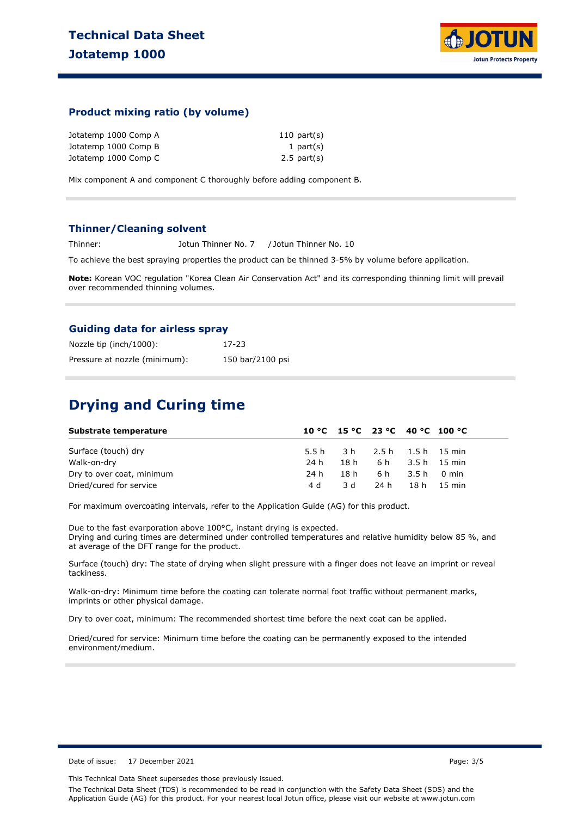

### **Product mixing ratio (by volume)**

| Jotatemp 1000 Comp A | $110$ part(s)    |
|----------------------|------------------|
| Jotatemp 1000 Comp B | 1 part $(s)$     |
| Jotatemp 1000 Comp C | $2.5$ part $(s)$ |

Mix component A and component C thoroughly before adding component B.

#### **Thinner/Cleaning solvent**

Thinner: Jotun Thinner No. 7 / Jotun Thinner No. 10

To achieve the best spraying properties the product can be thinned 3-5% by volume before application.

**Note:** Korean VOC regulation "Korea Clean Air Conservation Act" and its corresponding thinning limit will prevail over recommended thinning volumes.

#### **Guiding data for airless spray**

| Nozzle tip (inch/1000):       | 17-23            |
|-------------------------------|------------------|
| Pressure at nozzle (minimum): | 150 bar/2100 psi |

## **Drying and Curing time**

| Substrate temperature     |      | 10 °C 15 °C 23 °C 40 °C 100 °C |                       |  |
|---------------------------|------|--------------------------------|-----------------------|--|
| Surface (touch) dry       |      | 5.5 h 3 h 2.5 h 1.5 h 15 min   |                       |  |
| Walk-on-dry               | 24 h |                                | 18 h 6 h 3.5 h 15 min |  |
| Dry to over coat, minimum | 24 h |                                | 18h 6h 3.5h 0min      |  |
| Dried/cured for service   | 4 d  |                                | 3d 24h 18h 15 min     |  |

For maximum overcoating intervals, refer to the Application Guide (AG) for this product.

Due to the fast evarporation above 100°C, instant drying is expected. Drying and curing times are determined under controlled temperatures and relative humidity below 85 %, and at average of the DFT range for the product.

Surface (touch) dry: The state of drying when slight pressure with a finger does not leave an imprint or reveal tackiness.

Walk-on-dry: Minimum time before the coating can tolerate normal foot traffic without permanent marks, imprints or other physical damage.

Dry to over coat, minimum: The recommended shortest time before the next coat can be applied.

Dried/cured for service: Minimum time before the coating can be permanently exposed to the intended environment/medium.

Date of issue: 17 December 2021 **Page: 3/5** Page: 3/5

This Technical Data Sheet supersedes those previously issued.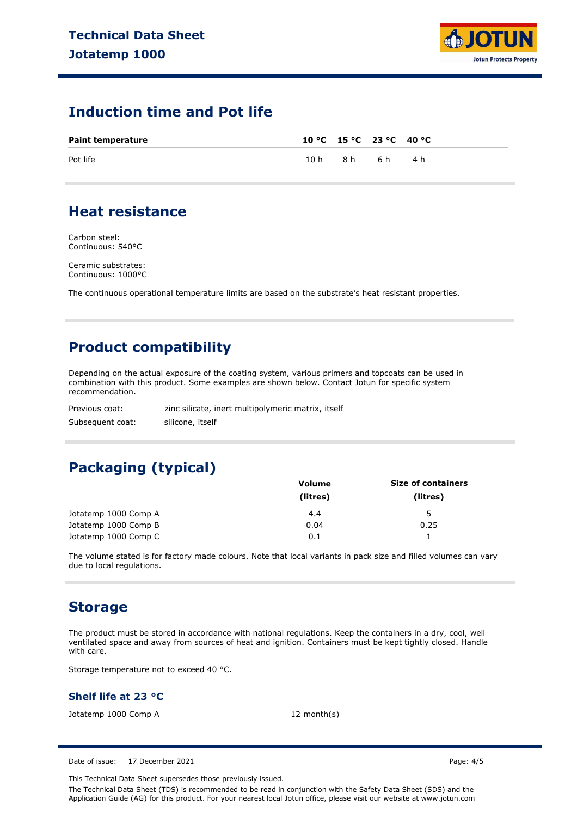

### **Induction time and Pot life**

| <b>Paint temperature</b> |      |     | 10 °C 15 °C 23 °C 40 °C |     |
|--------------------------|------|-----|-------------------------|-----|
| Pot life                 | 10 h | 8 h | 6 h                     | 4 h |

### **Heat resistance**

Carbon steel: Continuous: 540°C

Ceramic substrates: Continuous: 1000°C

The continuous operational temperature limits are based on the substrate's heat resistant properties.

# **Product compatibility**

Depending on the actual exposure of the coating system, various primers and topcoats can be used in combination with this product. Some examples are shown below. Contact Jotun for specific system recommendation.

| Previous coat:   | zinc silicate, inert multipolymeric matrix, itself |
|------------------|----------------------------------------------------|
| Subsequent coat: | silicone, itself                                   |

# **Packaging (typical)**

|                      | <b>Volume</b> | <b>Size of containers</b> |
|----------------------|---------------|---------------------------|
|                      | (litres)      | (litres)                  |
| Jotatemp 1000 Comp A | 4.4           | 5                         |
| Jotatemp 1000 Comp B | 0.04          | 0.25                      |
| Jotatemp 1000 Comp C | 0.1           |                           |

The volume stated is for factory made colours. Note that local variants in pack size and filled volumes can vary due to local regulations.

### **Storage**

The product must be stored in accordance with national regulations. Keep the containers in a dry, cool, well ventilated space and away from sources of heat and ignition. Containers must be kept tightly closed. Handle with care.

Storage temperature not to exceed 40 °C.

### **Shelf life at 23 °C**

Jotatemp 1000 Comp A 12 month(s)

Date of issue: 17 December 2021 **Page: 4/5** 

This Technical Data Sheet supersedes those previously issued.

The Technical Data Sheet (TDS) is recommended to be read in conjunction with the Safety Data Sheet (SDS) and the Application Guide (AG) for this product. For your nearest local Jotun office, please visit our website at www.jotun.com